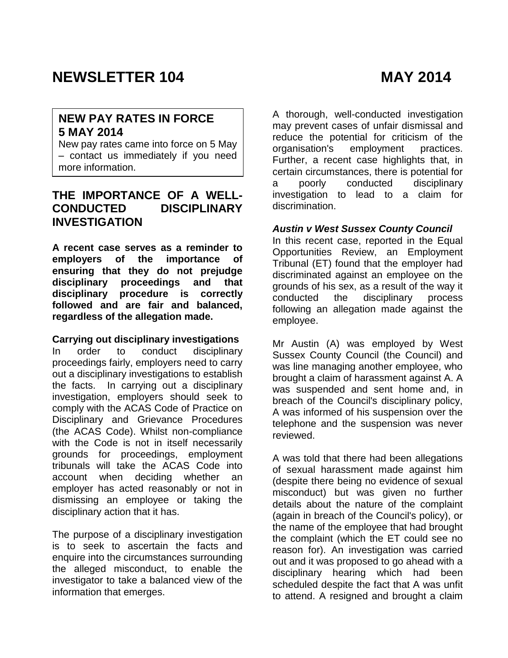# **NEWSLETTER 104 MAY 2014**

## **NEW PAY RATES IN FORCE 5 MAY 2014**

New pay rates came into force on 5 May – contact us immediately if you need more information.

# **THE IMPORTANCE OF A WELL-CONDUCTED DISCIPLINARY INVESTIGATION**

**A recent case serves as a reminder to employers of the importance of ensuring that they do not prejudge disciplinary proceedings and that disciplinary procedure is correctly followed and are fair and balanced, regardless of the allegation made.**

**Carrying out disciplinary investigations** In order to conduct disciplinary proceedings fairly, employers need to carry out a disciplinary investigations to establish the facts. In carrying out a disciplinary investigation, employers should seek to comply with the ACAS Code of Practice on Disciplinary and Grievance Procedures (the ACAS Code). Whilst non-compliance with the Code is not in itself necessarily grounds for proceedings, employment tribunals will take the ACAS Code into account when deciding whether an employer has acted reasonably or not in dismissing an employee or taking the disciplinary action that it has.

The purpose of a disciplinary investigation is to seek to ascertain the facts and enquire into the circumstances surrounding the alleged misconduct, to enable the investigator to take a balanced view of the information that emerges.

A thorough, well-conducted investigation may prevent cases of unfair dismissal and reduce the potential for criticism of the organisation's employment practices. Further, a recent case highlights that, in certain circumstances, there is potential for<br>a poorly conducted disciplinary a poorly conducted disciplinary investigation to lead to a claim for discrimination.

#### *Austin v West Sussex County Council*

In this recent case, reported in the Equal Opportunities Review, an Employment Tribunal (ET) found that the employer had discriminated against an employee on the grounds of his sex, as a result of the way it conducted the disciplinary process following an allegation made against the employee.

Mr Austin (A) was employed by West Sussex County Council (the Council) and was line managing another employee, who brought a claim of harassment against A. A was suspended and sent home and, in breach of the Council's disciplinary policy, A was informed of his suspension over the telephone and the suspension was never reviewed.

A was told that there had been allegations of sexual harassment made against him (despite there being no evidence of sexual misconduct) but was given no further details about the nature of the complaint (again in breach of the Council's policy), or the name of the employee that had brought the complaint (which the ET could see no reason for). An investigation was carried out and it was proposed to go ahead with a disciplinary hearing which had been scheduled despite the fact that A was unfit to attend. A resigned and brought a claim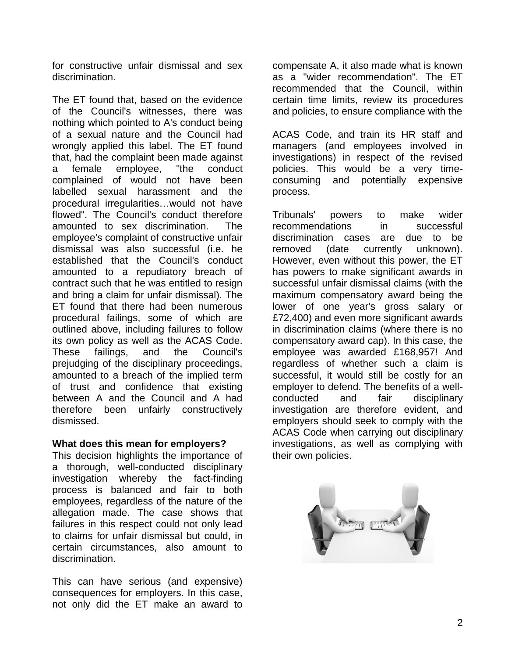for constructive unfair dismissal and sex discrimination.

The ET found that, based on the evidence of the Council's witnesses, there was nothing which pointed to A's conduct being of a sexual nature and the Council had wrongly applied this label. The ET found that, had the complaint been made against a female employee, "the conduct complained of would not have been labelled sexual harassment and the procedural irregularities…would not have flowed". The Council's conduct therefore amounted to sex discrimination. The employee's complaint of constructive unfair dismissal was also successful (i.e. he established that the Council's conduct amounted to a repudiatory breach of contract such that he was entitled to resign and bring a claim for unfair dismissal). The ET found that there had been numerous procedural failings, some of which are outlined above, including failures to follow its own policy as well as the ACAS Code. These failings, and the Council's prejudging of the disciplinary proceedings, amounted to a breach of the implied term of trust and confidence that existing between A and the Council and A had therefore been unfairly constructively dismissed.

#### **What does this mean for employers?**

This decision highlights the importance of a thorough, well-conducted disciplinary investigation whereby the fact-finding process is balanced and fair to both employees, regardless of the nature of the allegation made. The case shows that failures in this respect could not only lead to claims for unfair dismissal but could, in certain circumstances, also amount to discrimination.

This can have serious (and expensive) consequences for employers. In this case, not only did the ET make an award to

compensate A, it also made what is known as a "wider recommendation". The ET recommended that the Council, within certain time limits, review its procedures and policies, to ensure compliance with the

ACAS Code, and train its HR staff and managers (and employees involved in investigations) in respect of the revised policies. This would be a very timeconsuming and potentially expensive process.

Tribunals' powers to make wider recommendations in successful discrimination cases are due to be removed (date currently unknown). However, even without this power, the ET has powers to make significant awards in successful unfair dismissal claims (with the maximum compensatory award being the lower of one year's gross salary or £72,400) and even more significant awards in discrimination claims (where there is no compensatory award cap). In this case, the employee was awarded £168,957! And regardless of whether such a claim is successful, it would still be costly for an employer to defend. The benefits of a wellconducted and fair disciplinary investigation are therefore evident, and employers should seek to comply with the ACAS Code when carrying out disciplinary investigations, as well as complying with their own policies.

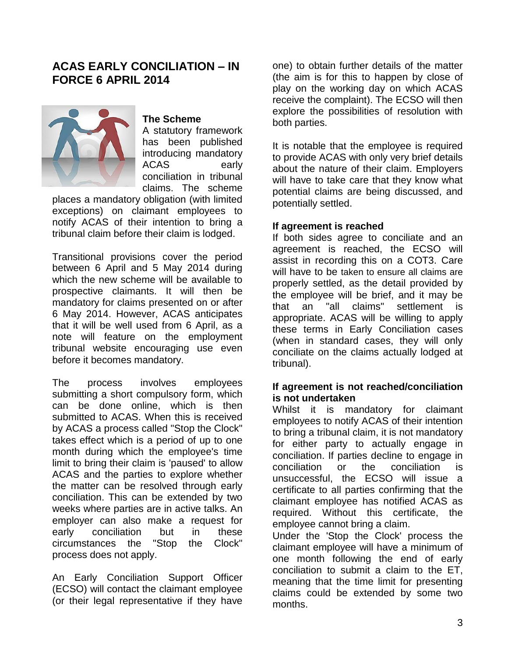# **ACAS EARLY CONCILIATION – IN FORCE 6 APRIL 2014**



#### **The Scheme**

A statutory framework has been published introducing mandatory ACAS early conciliation in tribunal claims. The scheme

places a mandatory obligation (with limited exceptions) on claimant employees to notify ACAS of their intention to bring a tribunal claim before their claim is lodged.

Transitional provisions cover the period between 6 April and 5 May 2014 during which the new scheme will be available to prospective claimants. It will then be mandatory for claims presented on or after 6 May 2014. However, ACAS anticipates that it will be well used from 6 April, as a note will feature on the employment tribunal website encouraging use even before it becomes mandatory.

The process involves employees submitting a short compulsory form, which can be done online, which is then submitted to ACAS. When this is received by ACAS a process called "Stop the Clock" takes effect which is a period of up to one month during which the employee's time limit to bring their claim is 'paused' to allow ACAS and the parties to explore whether the matter can be resolved through early conciliation. This can be extended by two weeks where parties are in active talks. An employer can also make a request for early conciliation but in these circumstances the "Stop the Clock" process does not apply.

An Early Conciliation Support Officer (ECSO) will contact the claimant employee (or their legal representative if they have one) to obtain further details of the matter (the aim is for this to happen by close of play on the working day on which ACAS receive the complaint). The ECSO will then explore the possibilities of resolution with both parties.

It is notable that the employee is required to provide ACAS with only very brief details about the nature of their claim. Employers will have to take care that they know what potential claims are being discussed, and potentially settled.

#### **If agreement is reached**

If both sides agree to conciliate and an agreement is reached, the ECSO will assist in recording this on a COT3. Care will have to be taken to ensure all claims are properly settled, as the detail provided by the employee will be brief, and it may be that an "all claims" settlement is appropriate. ACAS will be willing to apply these terms in Early Conciliation cases (when in standard cases, they will only conciliate on the claims actually lodged at tribunal).

#### **If agreement is not reached/conciliation is not undertaken**

Whilst it is mandatory for claimant employees to notify ACAS of their intention to bring a tribunal claim, it is not mandatory for either party to actually engage in conciliation. If parties decline to engage in conciliation or the conciliation is unsuccessful, the ECSO will issue a certificate to all parties confirming that the claimant employee has notified ACAS as required. Without this certificate, the employee cannot bring a claim.

Under the 'Stop the Clock' process the claimant employee will have a minimum of one month following the end of early conciliation to submit a claim to the ET, meaning that the time limit for presenting claims could be extended by some two months.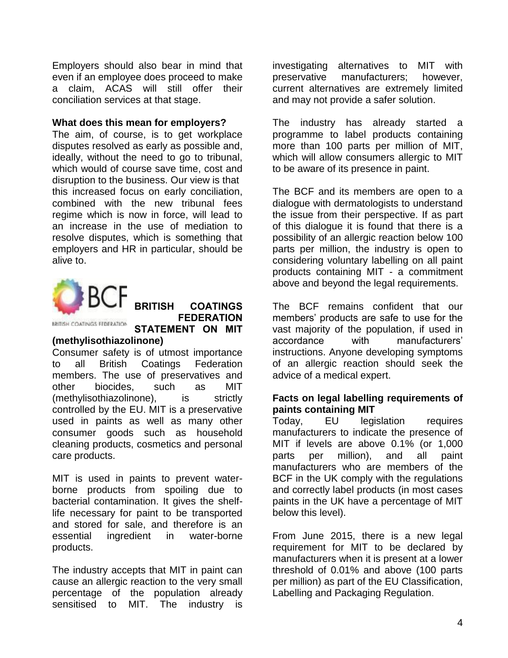Employers should also bear in mind that even if an employee does proceed to make a claim, ACAS will still offer their conciliation services at that stage.

#### **What does this mean for employers?**

The aim, of course, is to get workplace disputes resolved as early as possible and, ideally, without the need to go to tribunal, which would of course save time, cost and disruption to the business. Our view is that this increased focus on early conciliation, combined with the new tribunal fees regime which is now in force, will lead to an increase in the use of mediation to resolve disputes, which is something that employers and HR in particular, should be alive to.



# **BRITISH COATINGS FEDERATION STATEMENT ON MIT**

**(methylisothiazolinone)** 

Consumer safety is of utmost importance to all British Coatings Federation members. The use of preservatives and other biocides, such as MIT (methylisothiazolinone), is strictly controlled by the EU. MIT is a preservative used in paints as well as many other consumer goods such as household cleaning products, cosmetics and personal care products.

MIT is used in paints to prevent waterborne products from spoiling due to bacterial contamination. It gives the shelflife necessary for paint to be transported and stored for sale, and therefore is an essential ingredient in water-borne products.

The industry accepts that MIT in paint can cause an allergic reaction to the very small percentage of the population already sensitised to MIT. The industry is investigating alternatives to MIT with preservative manufacturers; however, current alternatives are extremely limited and may not provide a safer solution.

The industry has already started a programme to label products containing more than 100 parts per million of MIT, which will allow consumers allergic to MIT to be aware of its presence in paint.

The BCF and its members are open to a dialogue with dermatologists to understand the issue from their perspective. If as part of this dialogue it is found that there is a possibility of an allergic reaction below 100 parts per million, the industry is open to considering voluntary labelling on all paint products containing MIT - a commitment above and beyond the legal requirements.

The BCF remains confident that our members' products are safe to use for the vast majority of the population, if used in accordance with manufacturers' instructions. Anyone developing symptoms of an allergic reaction should seek the advice of a medical expert.

### **Facts on legal labelling requirements of paints containing MIT**

Today, EU legislation requires manufacturers to indicate the presence of MIT if levels are above 0.1% (or 1,000 parts per million), and all paint manufacturers who are members of the BCF in the UK comply with the regulations and correctly label products (in most cases paints in the UK have a percentage of MIT below this level).

From June 2015, there is a new legal requirement for MIT to be declared by manufacturers when it is present at a lower threshold of 0.01% and above (100 parts per million) as part of the EU Classification, Labelling and Packaging Regulation.